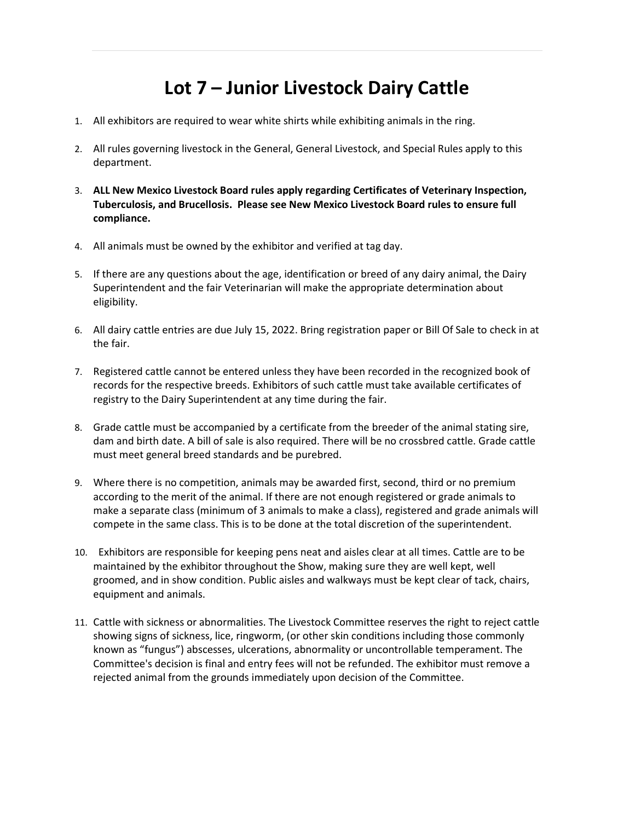## Lot 7 – Junior Livestock Dairy Cattle

- 1. All exhibitors are required to wear white shirts while exhibiting animals in the ring.
- 2. All rules governing livestock in the General, General Livestock, and Special Rules apply to this department.
- 3. ALL New Mexico Livestock Board rules apply regarding Certificates of Veterinary Inspection, Tuberculosis, and Brucellosis. Please see New Mexico Livestock Board rules to ensure full compliance.
- 4. All animals must be owned by the exhibitor and verified at tag day.
- 5. If there are any questions about the age, identification or breed of any dairy animal, the Dairy Superintendent and the fair Veterinarian will make the appropriate determination about eligibility.
- 6. All dairy cattle entries are due July 15, 2022. Bring registration paper or Bill Of Sale to check in at the fair.
- 7. Registered cattle cannot be entered unless they have been recorded in the recognized book of records for the respective breeds. Exhibitors of such cattle must take available certificates of registry to the Dairy Superintendent at any time during the fair.
- 8. Grade cattle must be accompanied by a certificate from the breeder of the animal stating sire, dam and birth date. A bill of sale is also required. There will be no crossbred cattle. Grade cattle must meet general breed standards and be purebred.
- 9. Where there is no competition, animals may be awarded first, second, third or no premium according to the merit of the animal. If there are not enough registered or grade animals to make a separate class (minimum of 3 animals to make a class), registered and grade animals will compete in the same class. This is to be done at the total discretion of the superintendent.
- 10. Exhibitors are responsible for keeping pens neat and aisles clear at all times. Cattle are to be maintained by the exhibitor throughout the Show, making sure they are well kept, well groomed, and in show condition. Public aisles and walkways must be kept clear of tack, chairs, equipment and animals.
- 11. Cattle with sickness or abnormalities. The Livestock Committee reserves the right to reject cattle showing signs of sickness, lice, ringworm, (or other skin conditions including those commonly known as "fungus") abscesses, ulcerations, abnormality or uncontrollable temperament. The Committee's decision is final and entry fees will not be refunded. The exhibitor must remove a rejected animal from the grounds immediately upon decision of the Committee.